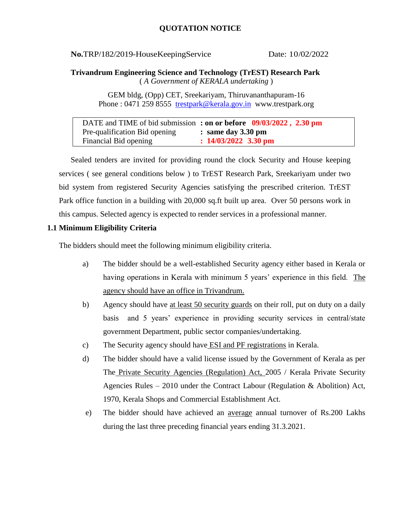**No.TRP/182/2019-HouseKeepingService Date: 10/02/2022** 

**Trivandrum Engineering Science and Technology (TrEST) Research Park** ( *A Government of KERALA undertaking* )

> GEM bldg, (Opp) CET, Sreekariyam, Thiruvananthapuram-16 Phone : 0471 259 8555 [trestpark@kerala.gov.in](mailto:trestpark@kerala.gov.in) www.trestpark.org

DATE and TIME of bid submission **: on or before 09/03/2022 , 2.30 pm** Pre-qualification Bid opening **: same day 3.30 pm** Financial Bid opening **: 14/03/2022 3.30 pm**

Sealed tenders are invited for providing round the clock Security and House keeping services ( see general conditions below ) to TrEST Research Park, Sreekariyam under two bid system from registered Security Agencies satisfying the prescribed criterion. TrEST Park office function in a building with 20,000 sq.ft built up area. Over 50 persons work in this campus. Selected agency is expected to render services in a professional manner.

### **1.1 Minimum Eligibility Criteria**

The bidders should meet the following minimum eligibility criteria.

- a) The bidder should be a well-established Security agency either based in Kerala or having operations in Kerala with minimum 5 years' experience in this field. The agency should have an office in Trivandrum.
- b) Agency should have <u>at least 50 security guards</u> on their roll, put on duty on a daily basis and 5 years' experience in providing security services in central/state government Department, public sector companies/undertaking.
- c) The Security agency should have ESI and PF registrations in Kerala.
- d) The bidder should have a valid license issued by the Government of Kerala as per The Private Security Agencies (Regulation) Act, 2005 / Kerala Private Security Agencies Rules – 2010 under the Contract Labour (Regulation & Abolition) Act, 1970, Kerala Shops and Commercial Establishment Act.
- e) The bidder should have achieved an average annual turnover of Rs.200 Lakhs during the last three preceding financial years ending 31.3.2021.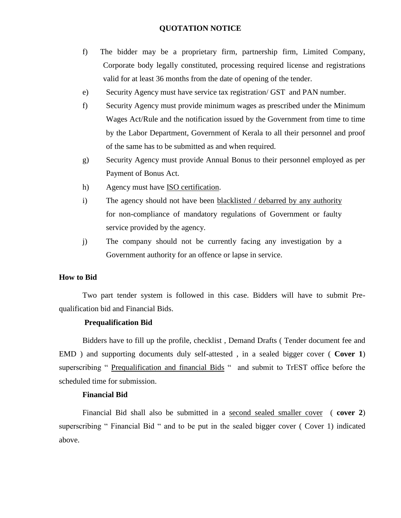- f) The bidder may be a proprietary firm, partnership firm, Limited Company, Corporate body legally constituted, processing required license and registrations valid for at least 36 months from the date of opening of the tender.
- e) Security Agency must have service tax registration/ GST and PAN number.
- f) Security Agency must provide minimum wages as prescribed under the Minimum Wages Act/Rule and the notification issued by the Government from time to time by the Labor Department, Government of Kerala to all their personnel and proof of the same has to be submitted as and when required.
- g) Security Agency must provide Annual Bonus to their personnel employed as per Payment of Bonus Act.
- h) Agency must have ISO certification.
- i) The agency should not have been blacklisted / debarred by any authority for non-compliance of mandatory regulations of Government or faulty service provided by the agency.
- j) The company should not be currently facing any investigation by a Government authority for an offence or lapse in service.

### **How to Bid**

Two part tender system is followed in this case. Bidders will have to submit Prequalification bid and Financial Bids.

### **Prequalification Bid**

Bidders have to fill up the profile, checklist , Demand Drafts ( Tender document fee and EMD ) and supporting documents duly self-attested , in a sealed bigger cover ( **Cover 1**) superscribing " Prequalification and financial Bids " and submit to TrEST office before the scheduled time for submission.

#### **Financial Bid**

Financial Bid shall also be submitted in a second sealed smaller cover ( **cover 2**) superscribing " Financial Bid " and to be put in the sealed bigger cover ( Cover 1) indicated above.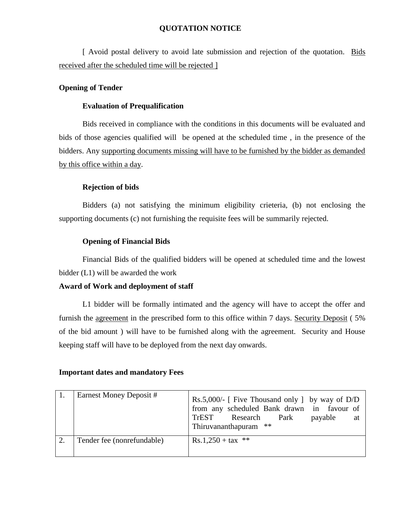[ Avoid postal delivery to avoid late submission and rejection of the quotation. Bids received after the scheduled time will be rejected ]

### **Opening of Tender**

### **Evaluation of Prequalification**

Bids received in compliance with the conditions in this documents will be evaluated and bids of those agencies qualified will be opened at the scheduled time , in the presence of the bidders. Any supporting documents missing will have to be furnished by the bidder as demanded by this office within a day.

### **Rejection of bids**

Bidders (a) not satisfying the minimum eligibility crieteria, (b) not enclosing the supporting documents (c) not furnishing the requisite fees will be summarily rejected.

### **Opening of Financial Bids**

Financial Bids of the qualified bidders will be opened at scheduled time and the lowest bidder (L1) will be awarded the work

### **Award of Work and deployment of staff**

L1 bidder will be formally intimated and the agency will have to accept the offer and furnish the agreement in the prescribed form to this office within 7 days. Security Deposit ( 5% of the bid amount ) will have to be furnished along with the agreement. Security and House keeping staff will have to be deployed from the next day onwards.

### **Important dates and mandatory Fees**

| Earnest Money Deposit #    | Rs.5,000/- [ Five Thousand only ] by way of $D/D$<br>from any scheduled Bank drawn in favour of<br>TrEST Research Park<br>payable<br>at<br>Thiruvananthapuram ** |
|----------------------------|------------------------------------------------------------------------------------------------------------------------------------------------------------------|
| Tender fee (nonrefundable) | $Rs.1,250 + tax$ **                                                                                                                                              |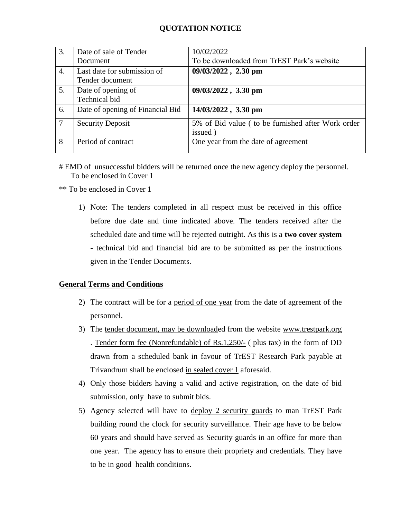| 3.     | Date of sale of Tender                         | 10/02/2022                                        |  |  |
|--------|------------------------------------------------|---------------------------------------------------|--|--|
|        | Document                                       | To be downloaded from TrEST Park's website        |  |  |
| 4.     | Last date for submission of<br>Tender document | 09/03/2022, 2.30 pm                               |  |  |
| 5.     | Date of opening of<br>Technical bid            | 09/03/2022, 3.30 pm                               |  |  |
| 6.     | Date of opening of Financial Bid               | 14/03/2022, 3.30 pm                               |  |  |
| $\tau$ | <b>Security Deposit</b>                        | 5% of Bid value (to be furnished after Work order |  |  |
|        |                                                | issued)                                           |  |  |
| 8      | Period of contract                             | One year from the date of agreement               |  |  |

# EMD of unsuccessful bidders will be returned once the new agency deploy the personnel. To be enclosed in Cover 1

\*\* To be enclosed in Cover 1

1) Note: The tenders completed in all respect must be received in this office before due date and time indicated above. The tenders received after the scheduled date and time will be rejected outright. As this is a **two cover system** - technical bid and financial bid are to be submitted as per the instructions given in the Tender Documents.

### **General Terms and Conditions**

- 2) The contract will be for a period of one year from the date of agreement of the personnel.
- 3) The tender document, may be downloaded from the website www.trestpark.org . Tender form fee (Nonrefundable) of Rs.1,250/- ( plus tax) in the form of DD drawn from a scheduled bank in favour of TrEST Research Park payable at Trivandrum shall be enclosed in sealed cover 1 aforesaid.
- 4) Only those bidders having a valid and active registration, on the date of bid submission, only have to submit bids.
- 5) Agency selected will have to deploy 2 security guards to man TrEST Park building round the clock for security surveillance. Their age have to be below 60 years and should have served as Security guards in an office for more than one year. The agency has to ensure their propriety and credentials. They have to be in good health conditions.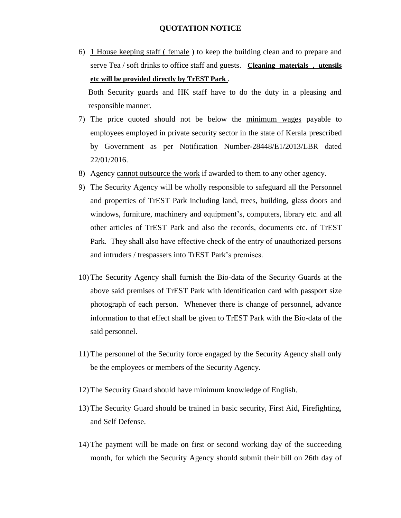6) 1 House keeping staff ( female ) to keep the building clean and to prepare and serve Tea / soft drinks to office staff and guests. **Cleaning materials , utensils etc will be provided directly by TrEST Park** .

Both Security guards and HK staff have to do the duty in a pleasing and responsible manner.

- 7) The price quoted should not be below the minimum wages payable to employees employed in private security sector in the state of Kerala prescribed by Government as per Notification Number-28448/E1/2013/LBR dated 22/01/2016.
- 8) Agency cannot outsource the work if awarded to them to any other agency.
- 9) The Security Agency will be wholly responsible to safeguard all the Personnel and properties of TrEST Park including land, trees, building, glass doors and windows, furniture, machinery and equipment's, computers, library etc. and all other articles of TrEST Park and also the records, documents etc. of TrEST Park. They shall also have effective check of the entry of unauthorized persons and intruders / trespassers into TrEST Park's premises.
- 10) The Security Agency shall furnish the Bio-data of the Security Guards at the above said premises of TrEST Park with identification card with passport size photograph of each person. Whenever there is change of personnel, advance information to that effect shall be given to TrEST Park with the Bio-data of the said personnel.
- 11) The personnel of the Security force engaged by the Security Agency shall only be the employees or members of the Security Agency.
- 12) The Security Guard should have minimum knowledge of English.
- 13) The Security Guard should be trained in basic security, First Aid, Firefighting, and Self Defense.
- 14) The payment will be made on first or second working day of the succeeding month, for which the Security Agency should submit their bill on 26th day of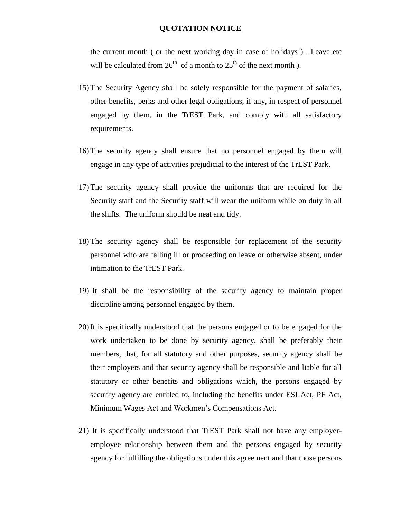the current month ( or the next working day in case of holidays ) . Leave etc will be calculated from  $26<sup>th</sup>$  of a month to  $25<sup>th</sup>$  of the next month ).

- 15) The Security Agency shall be solely responsible for the payment of salaries, other benefits, perks and other legal obligations, if any, in respect of personnel engaged by them, in the TrEST Park, and comply with all satisfactory requirements.
- 16) The security agency shall ensure that no personnel engaged by them will engage in any type of activities prejudicial to the interest of the TrEST Park.
- 17) The security agency shall provide the uniforms that are required for the Security staff and the Security staff will wear the uniform while on duty in all the shifts. The uniform should be neat and tidy.
- 18) The security agency shall be responsible for replacement of the security personnel who are falling ill or proceeding on leave or otherwise absent, under intimation to the TrEST Park.
- 19) It shall be the responsibility of the security agency to maintain proper discipline among personnel engaged by them.
- 20) It is specifically understood that the persons engaged or to be engaged for the work undertaken to be done by security agency, shall be preferably their members, that, for all statutory and other purposes, security agency shall be their employers and that security agency shall be responsible and liable for all statutory or other benefits and obligations which, the persons engaged by security agency are entitled to, including the benefits under ESI Act, PF Act, Minimum Wages Act and Workmen's Compensations Act.
- 21) It is specifically understood that TrEST Park shall not have any employeremployee relationship between them and the persons engaged by security agency for fulfilling the obligations under this agreement and that those persons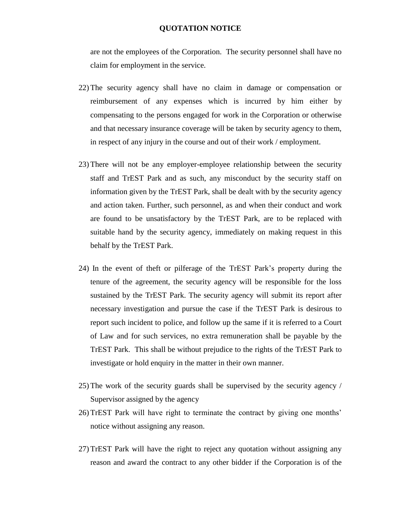are not the employees of the Corporation. The security personnel shall have no claim for employment in the service.

- 22) The security agency shall have no claim in damage or compensation or reimbursement of any expenses which is incurred by him either by compensating to the persons engaged for work in the Corporation or otherwise and that necessary insurance coverage will be taken by security agency to them, in respect of any injury in the course and out of their work / employment.
- 23) There will not be any employer-employee relationship between the security staff and TrEST Park and as such, any misconduct by the security staff on information given by the TrEST Park, shall be dealt with by the security agency and action taken. Further, such personnel, as and when their conduct and work are found to be unsatisfactory by the TrEST Park, are to be replaced with suitable hand by the security agency, immediately on making request in this behalf by the TrEST Park.
- 24) In the event of theft or pilferage of the TrEST Park's property during the tenure of the agreement, the security agency will be responsible for the loss sustained by the TrEST Park. The security agency will submit its report after necessary investigation and pursue the case if the TrEST Park is desirous to report such incident to police, and follow up the same if it is referred to a Court of Law and for such services, no extra remuneration shall be payable by the TrEST Park. This shall be without prejudice to the rights of the TrEST Park to investigate or hold enquiry in the matter in their own manner.
- 25) The work of the security guards shall be supervised by the security agency / Supervisor assigned by the agency
- 26) TrEST Park will have right to terminate the contract by giving one months' notice without assigning any reason.
- 27) TrEST Park will have the right to reject any quotation without assigning any reason and award the contract to any other bidder if the Corporation is of the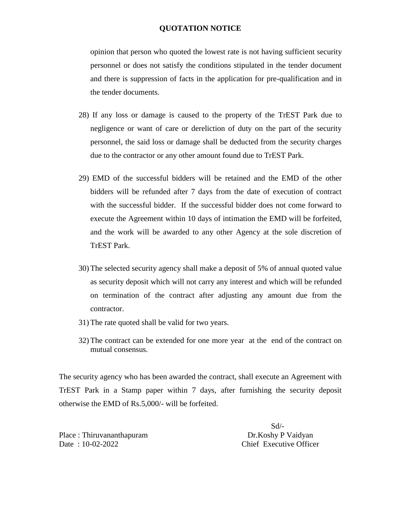opinion that person who quoted the lowest rate is not having sufficient security personnel or does not satisfy the conditions stipulated in the tender document and there is suppression of facts in the application for pre-qualification and in the tender documents.

- 28) If any loss or damage is caused to the property of the TrEST Park due to negligence or want of care or dereliction of duty on the part of the security personnel, the said loss or damage shall be deducted from the security charges due to the contractor or any other amount found due to TrEST Park.
- 29) EMD of the successful bidders will be retained and the EMD of the other bidders will be refunded after 7 days from the date of execution of contract with the successful bidder. If the successful bidder does not come forward to execute the Agreement within 10 days of intimation the EMD will be forfeited, and the work will be awarded to any other Agency at the sole discretion of TrEST Park.
- 30) The selected security agency shall make a deposit of 5% of annual quoted value as security deposit which will not carry any interest and which will be refunded on termination of the contract after adjusting any amount due from the contractor.
- 31) The rate quoted shall be valid for two years.
- 32) The contract can be extended for one more year at the end of the contract on mutual consensus.

The security agency who has been awarded the contract, shall execute an Agreement with TrEST Park in a Stamp paper within 7 days, after furnishing the security deposit otherwise the EMD of Rs.5,000/- will be forfeited.

Place : Thiruvananthapuram Dr.Koshy P Vaidyan Date : 10-02-2022 Chief Executive Officer

Sd/-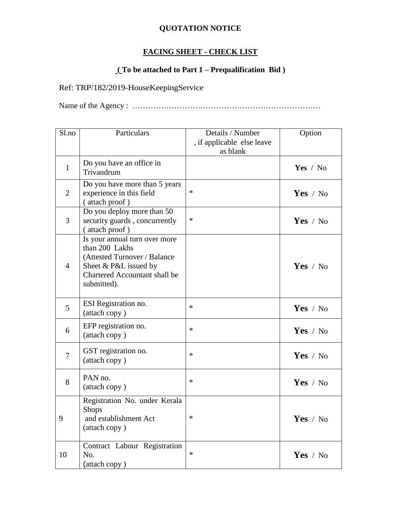# **FACING SHEET - CHECK LIST**

# **( To be attached to Part 1 – Prequalification Bid )**

# Ref: TRP/182/2019-HouseKeepingService

Name of the Agency : ………………………………………………………………

| Sl.no          | Particulars                                                                                                                                              | Details / Number<br>, if applicable else leave<br>as blank | Option     |
|----------------|----------------------------------------------------------------------------------------------------------------------------------------------------------|------------------------------------------------------------|------------|
| $\mathbf{1}$   | Do you have an office in<br>Trivandrum                                                                                                                   |                                                            | Yes / No   |
| $\overline{2}$ | Do you have more than 5 years<br>experience in this field<br>(attach proof)                                                                              | $\ast$                                                     | Yes / $No$ |
| $\overline{3}$ | Do you deploy more than 50<br>security guards, concurrently<br>(attach proof)                                                                            | $\ast$                                                     | Yes / No   |
| $\overline{4}$ | Is your annual turn over more<br>than 200 Lakhs<br>(Attested Turnover / Balance<br>Sheet & P&L issued by<br>Chartered Accountant shall be<br>submitted). |                                                            | Yes / $No$ |
| 5              | ESI Registration no.<br>(attach copy)                                                                                                                    | $\ast$                                                     | Yes $/$ No |
| 6              | EFP registration no.<br>(attach copy)                                                                                                                    | $\ast$                                                     | Yes / $No$ |
| $\overline{7}$ | GST registration no.<br>(attach copy)                                                                                                                    | $\ast$                                                     | Yes / No   |
| 8              | PAN no.<br>(attach copy)                                                                                                                                 | $\ast$                                                     | Yes / $No$ |
| 9              | Registration No. under Kerala<br><b>Shops</b><br>and establishment Act<br>(attach copy)                                                                  | $\ast$                                                     | Yes / No   |
| 10             | Contract Labour Registration<br>No.<br>(attach copy)                                                                                                     | $\ast$                                                     | Yes / $No$ |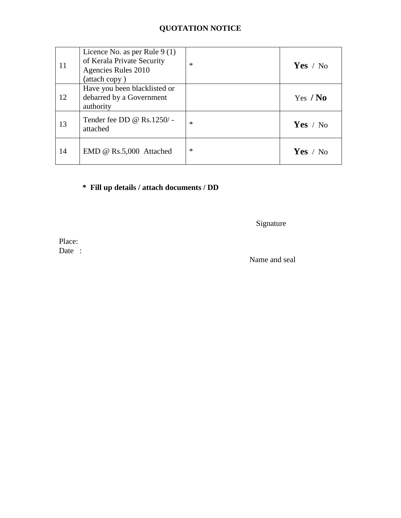| 11 | Licence No. as per Rule $9(1)$<br>of Kerala Private Security<br>Agencies Rules 2010<br>(attach copy) | $\ast$ | Yes / No   |
|----|------------------------------------------------------------------------------------------------------|--------|------------|
| 12 | Have you been blacklisted or<br>debarred by a Government<br>authority                                |        | Yes $/$ No |
| 13 | Tender fee DD @ Rs.1250/-<br>attached                                                                | $\ast$ | Yes / No   |
| 14 | EMD @ Rs.5,000 Attached                                                                              | $\ast$ | Yes / $No$ |

# **\* Fill up details / attach documents / DD**

Signature

Place: Date :

Name and seal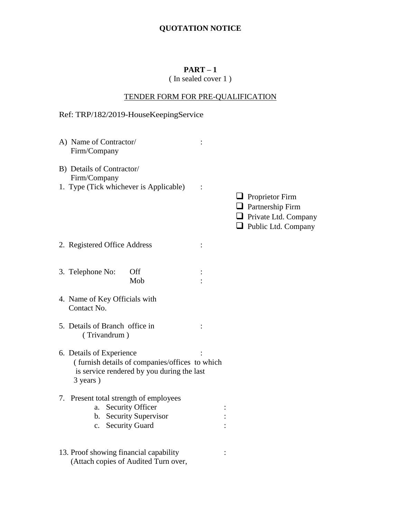# **PART – 1**

# ( In sealed cover 1 )

# TENDER FORM FOR PRE-QUALIFICATION

# Ref: TRP/182/2019-HouseKeepingService

| A) Name of Contractor/<br>Firm/Company                                                                                               |   |                                                                                                                |
|--------------------------------------------------------------------------------------------------------------------------------------|---|----------------------------------------------------------------------------------------------------------------|
| B) Details of Contractor/<br>Firm/Company<br>1. Type (Tick whichever is Applicable)                                                  |   | $\Box$ Proprietor Firm<br>$\Box$ Partnership Firm<br>$\Box$ Private Ltd. Company<br>$\Box$ Public Ltd. Company |
| 2. Registered Office Address                                                                                                         | : |                                                                                                                |
| Off<br>3. Telephone No:<br>Mob                                                                                                       |   |                                                                                                                |
| 4. Name of Key Officials with<br>Contact No.                                                                                         |   |                                                                                                                |
| 5. Details of Branch office in<br>(Trivandrum)                                                                                       |   |                                                                                                                |
| 6. Details of Experience<br>(furnish details of companies/offices to which<br>is service rendered by you during the last<br>3 years) |   |                                                                                                                |
| 7. Present total strength of employees<br>a. Security Officer<br>b. Security Supervisor<br>c. Security Guard                         |   |                                                                                                                |
| 13. Proof showing financial capability<br>(Attach copies of Audited Turn over,                                                       |   |                                                                                                                |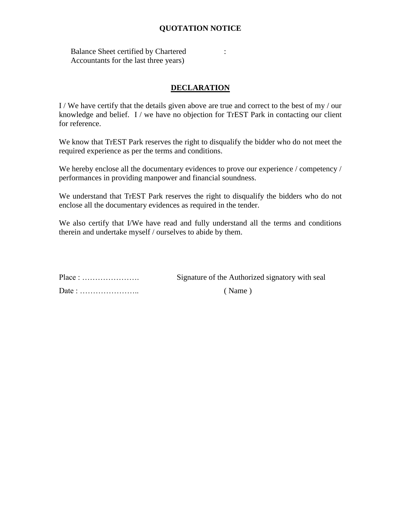Balance Sheet certified by Chartered : Accountants for the last three years)

# **DECLARATION**

I / We have certify that the details given above are true and correct to the best of my / our knowledge and belief. I / we have no objection for TrEST Park in contacting our client for reference.

We know that TrEST Park reserves the right to disqualify the bidder who do not meet the required experience as per the terms and conditions.

We hereby enclose all the documentary evidences to prove our experience / competency / performances in providing manpower and financial soundness.

We understand that TrEST Park reserves the right to disqualify the bidders who do not enclose all the documentary evidences as required in the tender.

We also certify that I/We have read and fully understand all the terms and conditions therein and undertake myself / ourselves to abide by them.

| $Place: \ldots \ldots \ldots \ldots \ldots \ldots$    | Signature of the Authorized signatory with seal |  |  |
|-------------------------------------------------------|-------------------------------------------------|--|--|
| Date: $\dots\dots\dots\dots\dots\dots\dots\dots\dots$ | (Name)                                          |  |  |